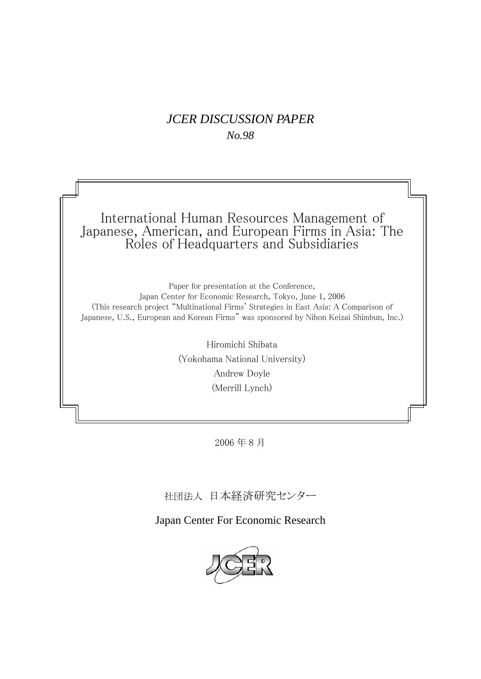## *JCER DISCUSSION PAPER No.98*

International Human Resources Management of Japanese, American, and European Firms in Asia: The Roles of Headquarters and Subsidiaries

Paper for presentation at the Conference, Japan Center for Economic Research, Tokyo, June 1, 2006 (This research project "Multinational Firms' Strategies in East Asia: A Comparison of Japanese, U.S., European and Korean Firms" was sponsored by Nihon Keizai Shimbun, Inc.)

> Hiromichi Shibata (Yokohama National University) Andrew Doyle (Merrill Lynch)

> > 2006 年 8 月

社団法人 日本経済研究センター

Japan Center For Economic Research

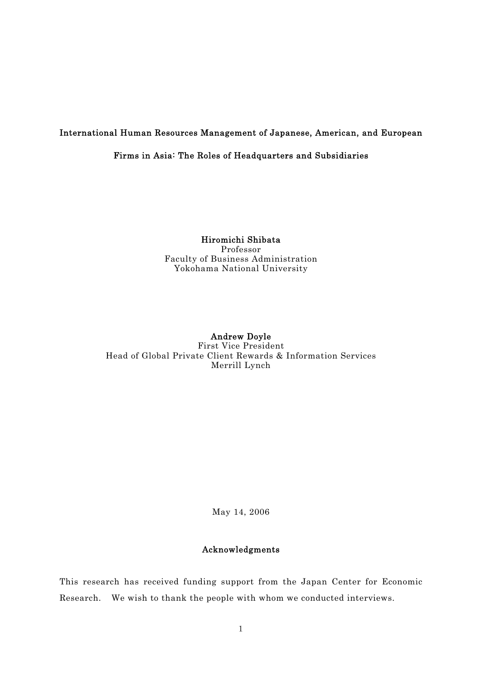## International Human Resources Management of Japanese, American, and European

## Firms in Asia: The Roles of Headquarters and Subsidiaries

#### Hiromichi Shibata Professor Faculty of Business Administration Yokohama National University

## Andrew Doyle First Vice President Head of Global Private Client Rewards & Information Services Merrill Lynch

May 14, 2006

### Acknowledgments

This research has received funding support from the Japan Center for Economic Research. We wish to thank the people with whom we conducted interviews.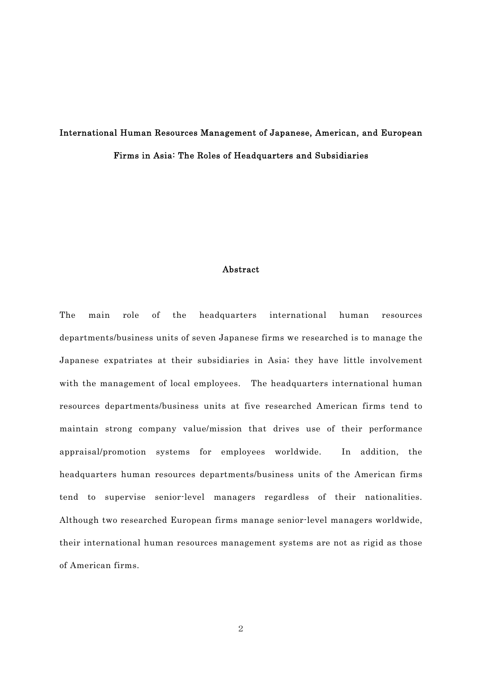# International Human Resources Management of Japanese, American, and European Firms in Asia: The Roles of Headquarters and Subsidiaries

#### Abstract

The main role of the headquarters international human resources departments/business units of seven Japanese firms we researched is to manage the Japanese expatriates at their subsidiaries in Asia; they have little involvement with the management of local employees. The headquarters international human resources departments/business units at five researched American firms tend to maintain strong company value/mission that drives use of their performance appraisal/promotion systems for employees worldwide. In addition, the headquarters human resources departments/business units of the American firms tend to supervise senior-level managers regardless of their nationalities. Although two researched European firms manage senior-level managers worldwide, their international human resources management systems are not as rigid as those of American firms.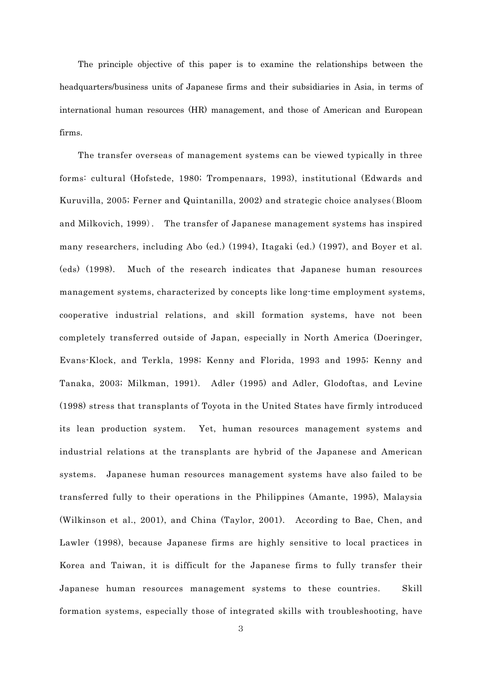The principle objective of this paper is to examine the relationships between the headquarters/business units of Japanese firms and their subsidiaries in Asia, in terms of international human resources (HR) management, and those of American and European firms.

 The transfer overseas of management systems can be viewed typically in three forms: cultural (Hofstede, 1980; Trompenaars, 1993), institutional (Edwards and Kuruvilla, 2005; Ferner and Quintanilla, 2002) and strategic choice analyses(Bloom and Milkovich, 1999). The transfer of Japanese management systems has inspired many researchers, including Abo (ed.) (1994), Itagaki (ed.) (1997), and Boyer et al. (eds) (1998). Much of the research indicates that Japanese human resources management systems, characterized by concepts like long-time employment systems, cooperative industrial relations, and skill formation systems, have not been completely transferred outside of Japan, especially in North America (Doeringer, Evans-Klock, and Terkla, 1998; Kenny and Florida, 1993 and 1995; Kenny and Tanaka, 2003; Milkman, 1991). Adler (1995) and Adler, Glodoftas, and Levine (1998) stress that transplants of Toyota in the United States have firmly introduced its lean production system. Yet, human resources management systems and industrial relations at the transplants are hybrid of the Japanese and American systems. Japanese human resources management systems have also failed to be transferred fully to their operations in the Philippines (Amante, 1995), Malaysia (Wilkinson et al., 2001), and China (Taylor, 2001). According to Bae, Chen, and Lawler (1998), because Japanese firms are highly sensitive to local practices in Korea and Taiwan, it is difficult for the Japanese firms to fully transfer their Japanese human resources management systems to these countries. Skill formation systems, especially those of integrated skills with troubleshooting, have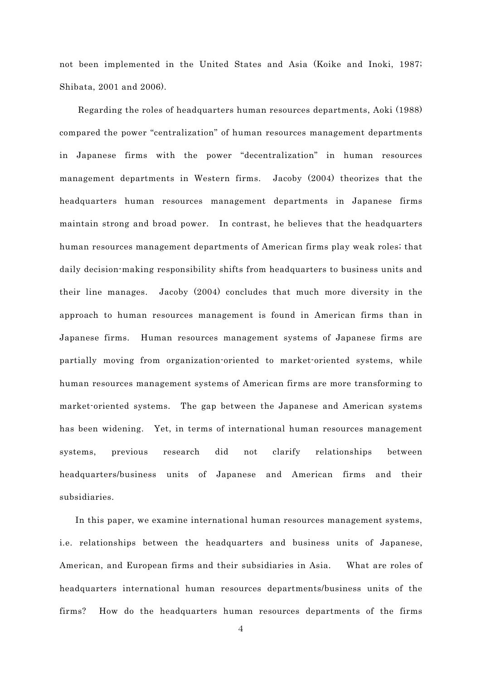not been implemented in the United States and Asia (Koike and Inoki, 1987; Shibata, 2001 and 2006).

 Regarding the roles of headquarters human resources departments, Aoki (1988) compared the power "centralization" of human resources management departments in Japanese firms with the power "decentralization" in human resources management departments in Western firms. Jacoby (2004) theorizes that the headquarters human resources management departments in Japanese firms maintain strong and broad power. In contrast, he believes that the headquarters human resources management departments of American firms play weak roles; that daily decision-making responsibility shifts from headquarters to business units and their line manages. Jacoby (2004) concludes that much more diversity in the approach to human resources management is found in American firms than in Japanese firms. Human resources management systems of Japanese firms are partially moving from organization-oriented to market-oriented systems, while human resources management systems of American firms are more transforming to market-oriented systems. The gap between the Japanese and American systems has been widening. Yet, in terms of international human resources management systems, previous research did not clarify relationships between headquarters/business units of Japanese and American firms and their subsidiaries.

 In this paper, we examine international human resources management systems, i.e. relationships between the headquarters and business units of Japanese, American, and European firms and their subsidiaries in Asia. What are roles of headquarters international human resources departments/business units of the firms? How do the headquarters human resources departments of the firms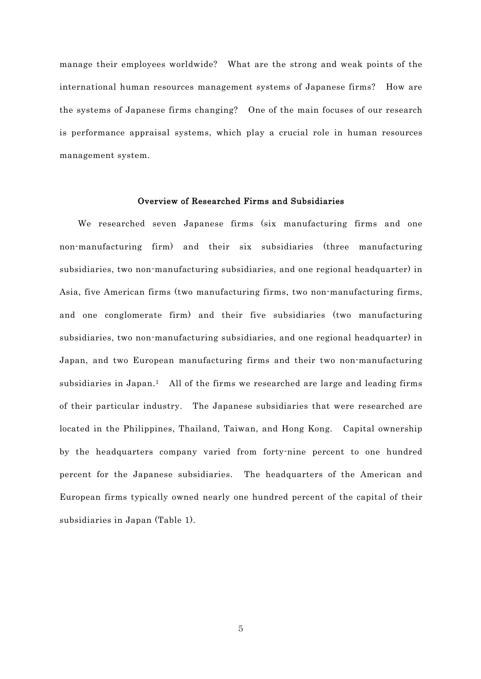manage their employees worldwide? What are the strong and weak points of the international human resources management systems of Japanese firms? How are the systems of Japanese firms changing? One of the main focuses of our research is performance appraisal systems, which play a crucial role in human resources management system.

#### Overview of Researched Firms and Subsidiaries

 We researched seven Japanese firms (six manufacturing firms and one non-manufacturing firm) and their six subsidiaries (three manufacturing subsidiaries, two non-manufacturing subsidiaries, and one regional headquarter) in Asia, five American firms (two manufacturing firms, two non-manufacturing firms, and one conglomerate firm) and their five subsidiaries (two manufacturing subsidiaries, two non-manufacturing subsidiaries, and one regional headquarter) in Japan, and two European manufacturing firms and their two non-manufacturing subsidiaries in Japan.<sup>1</sup> All of the firms we researched are large and leading firms of their particular industry. The Japanese subsidiaries that were researched are located in the Philippines, Thailand, Taiwan, and Hong Kong. Capital ownership by the headquarters company varied from forty-nine percent to one hundred percent for the Japanese subsidiaries. The headquarters of the American and European firms typically owned nearly one hundred percent of the capital of their subsidiaries in Japan (Table 1).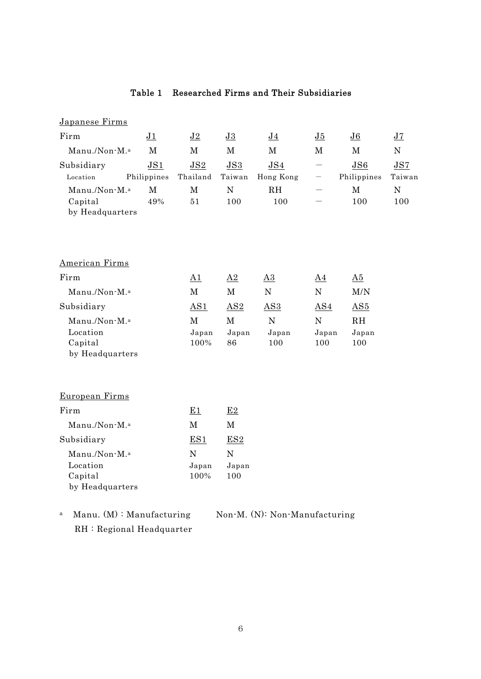## Table 1 Researched Firms and Their Subsidiaries

| Japanese Firms                                                      |                    |                                 |                                    |                             |                           |                           |                  |
|---------------------------------------------------------------------|--------------------|---------------------------------|------------------------------------|-----------------------------|---------------------------|---------------------------|------------------|
| Firm                                                                | J1                 | J2                              | J3                                 | J <sub>4</sub>              | J5                        | J6                        | J7               |
| Manu./Non-M. <sup>a</sup>                                           | $\mathbf M$        | $\mathbf{M}$                    | $\mathbf M$                        | $\mathbf{M}$                | $\mathbf M$               | $\mathbf M$               | ${\bf N}$        |
| Subsidiary                                                          | JS1                | JS2                             | JS3                                | JS4                         |                           | JS6                       | JS7              |
| Location                                                            | Philippines        | Thailand                        | Taiwan                             | Hong Kong                   |                           | Philippines               | Taiwan           |
| Manu./Non-M. <sup>a</sup><br>Capital<br>by Headquarters             | $\mathbf M$<br>49% | $\mathbf M$<br>51               | ${\bf N}$<br>100                   | RH<br>100                   |                           | $\mathbf M$<br>100        | ${\bf N}$<br>100 |
| <b>American Firms</b>                                               |                    |                                 |                                    |                             |                           |                           |                  |
| Firm                                                                |                    | $\underline{A1}$                | $\Delta 2$                         | $\underline{A3}$            | $\underline{A4}$          | $\underline{\mathrm{A5}}$ |                  |
| Manu./Non-M. <sup>a</sup>                                           |                    | $\mathbf M$                     | $\mathbf M$                        | ${\bf N}$                   | ${\bf N}$                 | M/N                       |                  |
| Subsidiary                                                          |                    | AS1                             | AS2                                | AS3                         | AS4                       | AS5                       |                  |
| Manu./Non-M.ª<br>Location<br>Capital<br>by Headquarters             |                    | $\mathbf M$<br>Japan<br>100%    | $\mathbf M$<br>${\it Japan}$<br>86 | $\mathbf N$<br>Japan<br>100 | ${\bf N}$<br>Japan<br>100 | RH<br>Japan<br>100        |                  |
| European Firms                                                      |                    |                                 |                                    |                             |                           |                           |                  |
| Firm                                                                |                    | <u>E1</u>                       | E2                                 |                             |                           |                           |                  |
| Manu./Non-M. <sup>a</sup>                                           |                    | $\mathbf M$                     | M                                  |                             |                           |                           |                  |
| Subsidiary                                                          |                    | ES1                             | ES2                                |                             |                           |                           |                  |
| Manu./Non-M. <sup>a</sup><br>Location<br>Capital<br>by Headquarters |                    | $\mathbf N$<br>Japan<br>$100\%$ | ${\bf N}$<br>Japan<br>100          |                             |                           |                           |                  |
|                                                                     |                    |                                 |                                    |                             |                           |                           |                  |

a Manu. (M) : Manufacturing Non-M. (N): Non-Manufacturing RH : Regional Headquarter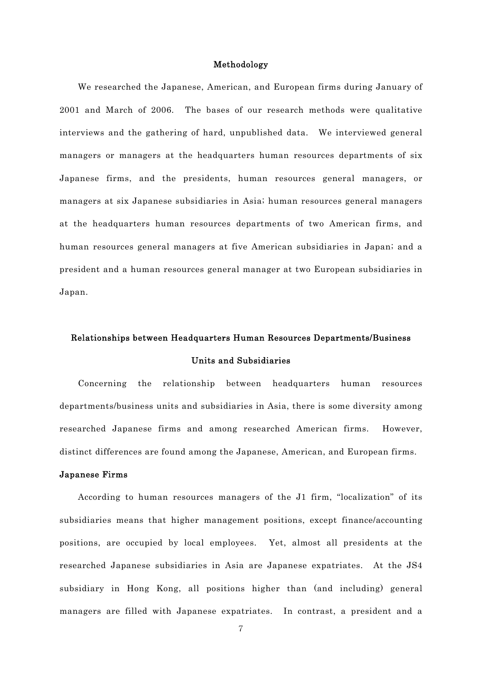### Methodology

 We researched the Japanese, American, and European firms during January of 2001 and March of 2006. The bases of our research methods were qualitative interviews and the gathering of hard, unpublished data. We interviewed general managers or managers at the headquarters human resources departments of six Japanese firms, and the presidents, human resources general managers, or managers at six Japanese subsidiaries in Asia; human resources general managers at the headquarters human resources departments of two American firms, and human resources general managers at five American subsidiaries in Japan; and a president and a human resources general manager at two European subsidiaries in Japan.

## Relationships between Headquarters Human Resources Departments/Business Units and Subsidiaries

 Concerning the relationship between headquarters human resources departments/business units and subsidiaries in Asia, there is some diversity among researched Japanese firms and among researched American firms. However, distinct differences are found among the Japanese, American, and European firms.

#### Japanese Firms

 According to human resources managers of the J1 firm, "localization" of its subsidiaries means that higher management positions, except finance/accounting positions, are occupied by local employees. Yet, almost all presidents at the researched Japanese subsidiaries in Asia are Japanese expatriates. At the JS4 subsidiary in Hong Kong, all positions higher than (and including) general managers are filled with Japanese expatriates. In contrast, a president and a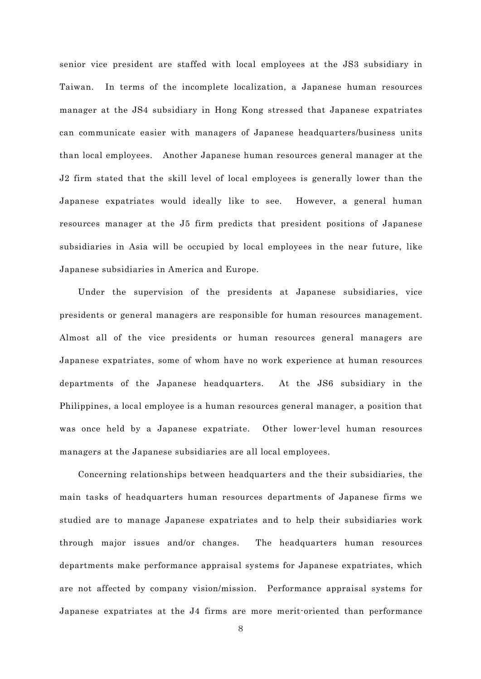senior vice president are staffed with local employees at the JS3 subsidiary in Taiwan. In terms of the incomplete localization, a Japanese human resources manager at the JS4 subsidiary in Hong Kong stressed that Japanese expatriates can communicate easier with managers of Japanese headquarters/business units than local employees. Another Japanese human resources general manager at the J2 firm stated that the skill level of local employees is generally lower than the Japanese expatriates would ideally like to see. However, a general human resources manager at the J5 firm predicts that president positions of Japanese subsidiaries in Asia will be occupied by local employees in the near future, like Japanese subsidiaries in America and Europe.

 Under the supervision of the presidents at Japanese subsidiaries, vice presidents or general managers are responsible for human resources management. Almost all of the vice presidents or human resources general managers are Japanese expatriates, some of whom have no work experience at human resources departments of the Japanese headquarters. At the JS6 subsidiary in the Philippines, a local employee is a human resources general manager, a position that was once held by a Japanese expatriate. Other lower-level human resources managers at the Japanese subsidiaries are all local employees.

 Concerning relationships between headquarters and the their subsidiaries, the main tasks of headquarters human resources departments of Japanese firms we studied are to manage Japanese expatriates and to help their subsidiaries work through major issues and/or changes. The headquarters human resources departments make performance appraisal systems for Japanese expatriates, which are not affected by company vision/mission. Performance appraisal systems for Japanese expatriates at the J4 firms are more merit-oriented than performance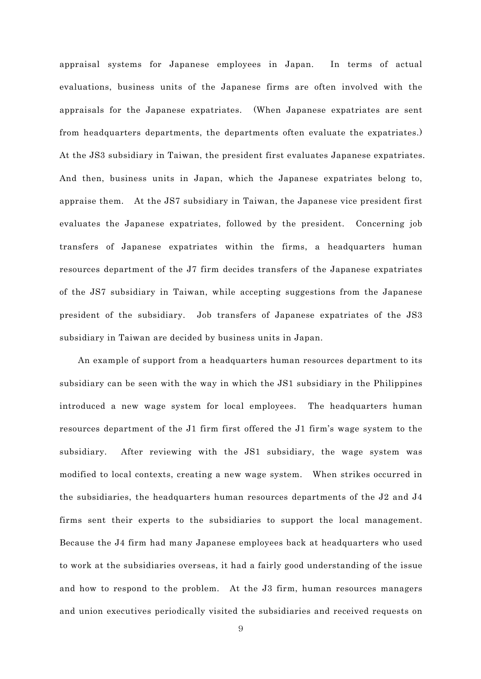appraisal systems for Japanese employees in Japan. In terms of actual evaluations, business units of the Japanese firms are often involved with the appraisals for the Japanese expatriates. (When Japanese expatriates are sent from headquarters departments, the departments often evaluate the expatriates.) At the JS3 subsidiary in Taiwan, the president first evaluates Japanese expatriates. And then, business units in Japan, which the Japanese expatriates belong to, appraise them. At the JS7 subsidiary in Taiwan, the Japanese vice president first evaluates the Japanese expatriates, followed by the president. Concerning job transfers of Japanese expatriates within the firms, a headquarters human resources department of the J7 firm decides transfers of the Japanese expatriates of the JS7 subsidiary in Taiwan, while accepting suggestions from the Japanese president of the subsidiary. Job transfers of Japanese expatriates of the JS3 subsidiary in Taiwan are decided by business units in Japan.

 An example of support from a headquarters human resources department to its subsidiary can be seen with the way in which the JS1 subsidiary in the Philippines introduced a new wage system for local employees. The headquarters human resources department of the J1 firm first offered the J1 firm's wage system to the subsidiary. After reviewing with the JS1 subsidiary, the wage system was modified to local contexts, creating a new wage system. When strikes occurred in the subsidiaries, the headquarters human resources departments of the J2 and J4 firms sent their experts to the subsidiaries to support the local management. Because the J4 firm had many Japanese employees back at headquarters who used to work at the subsidiaries overseas, it had a fairly good understanding of the issue and how to respond to the problem. At the J3 firm, human resources managers and union executives periodically visited the subsidiaries and received requests on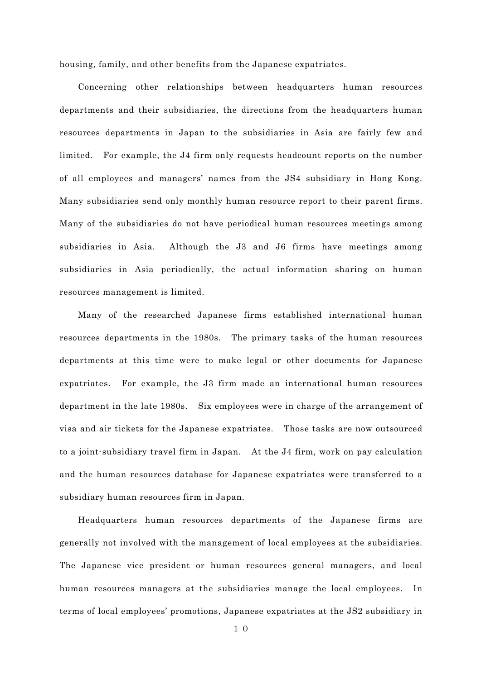housing, family, and other benefits from the Japanese expatriates.

 Concerning other relationships between headquarters human resources departments and their subsidiaries, the directions from the headquarters human resources departments in Japan to the subsidiaries in Asia are fairly few and limited. For example, the J4 firm only requests headcount reports on the number of all employees and managers' names from the JS4 subsidiary in Hong Kong. Many subsidiaries send only monthly human resource report to their parent firms. Many of the subsidiaries do not have periodical human resources meetings among subsidiaries in Asia. Although the J3 and J6 firms have meetings among subsidiaries in Asia periodically, the actual information sharing on human resources management is limited.

 Many of the researched Japanese firms established international human resources departments in the 1980s. The primary tasks of the human resources departments at this time were to make legal or other documents for Japanese expatriates. For example, the J3 firm made an international human resources department in the late 1980s. Six employees were in charge of the arrangement of visa and air tickets for the Japanese expatriates. Those tasks are now outsourced to a joint-subsidiary travel firm in Japan. At the J4 firm, work on pay calculation and the human resources database for Japanese expatriates were transferred to a subsidiary human resources firm in Japan.

 Headquarters human resources departments of the Japanese firms are generally not involved with the management of local employees at the subsidiaries. The Japanese vice president or human resources general managers, and local human resources managers at the subsidiaries manage the local employees. In terms of local employees' promotions, Japanese expatriates at the JS2 subsidiary in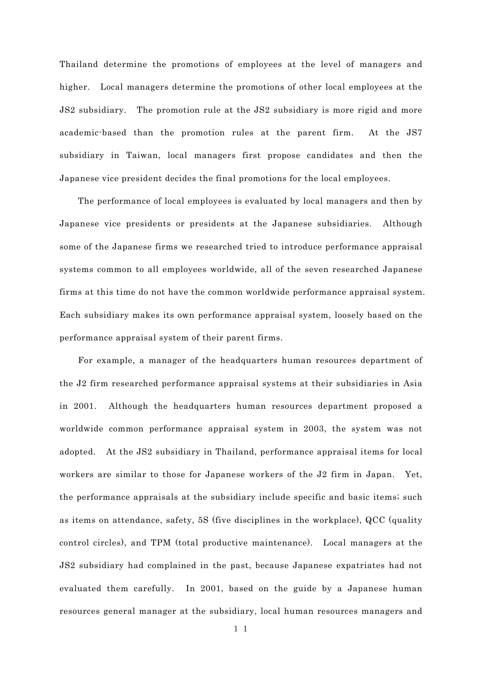Thailand determine the promotions of employees at the level of managers and higher. Local managers determine the promotions of other local employees at the JS2 subsidiary. The promotion rule at the JS2 subsidiary is more rigid and more academic-based than the promotion rules at the parent firm. At the JS7 subsidiary in Taiwan, local managers first propose candidates and then the Japanese vice president decides the final promotions for the local employees.

 The performance of local employees is evaluated by local managers and then by Japanese vice presidents or presidents at the Japanese subsidiaries. Although some of the Japanese firms we researched tried to introduce performance appraisal systems common to all employees worldwide, all of the seven researched Japanese firms at this time do not have the common worldwide performance appraisal system. Each subsidiary makes its own performance appraisal system, loosely based on the performance appraisal system of their parent firms.

 For example, a manager of the headquarters human resources department of the J2 firm researched performance appraisal systems at their subsidiaries in Asia in 2001. Although the headquarters human resources department proposed a worldwide common performance appraisal system in 2003, the system was not adopted. At the JS2 subsidiary in Thailand, performance appraisal items for local workers are similar to those for Japanese workers of the J2 firm in Japan. Yet, the performance appraisals at the subsidiary include specific and basic items; such as items on attendance, safety, 5S (five disciplines in the workplace), QCC (quality control circles), and TPM (total productive maintenance). Local managers at the JS2 subsidiary had complained in the past, because Japanese expatriates had not evaluated them carefully. In 2001, based on the guide by a Japanese human resources general manager at the subsidiary, local human resources managers and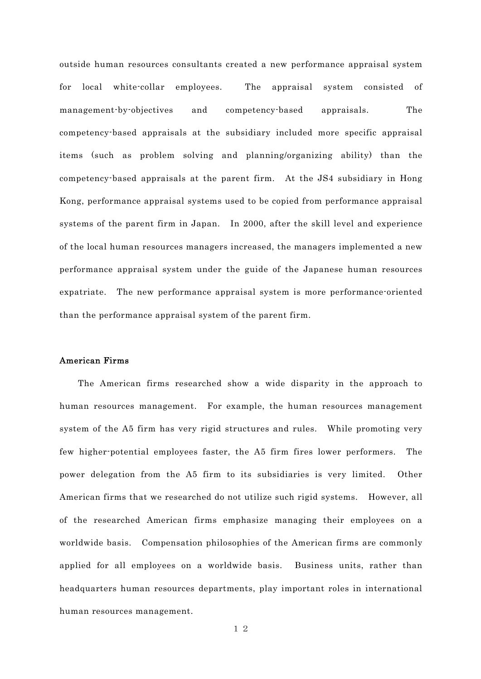outside human resources consultants created a new performance appraisal system for local white-collar employees. The appraisal system consisted of management-by-objectives and competency-based appraisals. The competency-based appraisals at the subsidiary included more specific appraisal items (such as problem solving and planning/organizing ability) than the competency-based appraisals at the parent firm. At the JS4 subsidiary in Hong Kong, performance appraisal systems used to be copied from performance appraisal systems of the parent firm in Japan. In 2000, after the skill level and experience of the local human resources managers increased, the managers implemented a new performance appraisal system under the guide of the Japanese human resources expatriate. The new performance appraisal system is more performance-oriented than the performance appraisal system of the parent firm.

#### American Firms

 The American firms researched show a wide disparity in the approach to human resources management. For example, the human resources management system of the A5 firm has very rigid structures and rules. While promoting very few higher-potential employees faster, the A5 firm fires lower performers. The power delegation from the A5 firm to its subsidiaries is very limited. Other American firms that we researched do not utilize such rigid systems. However, all of the researched American firms emphasize managing their employees on a worldwide basis. Compensation philosophies of the American firms are commonly applied for all employees on a worldwide basis. Business units, rather than headquarters human resources departments, play important roles in international human resources management.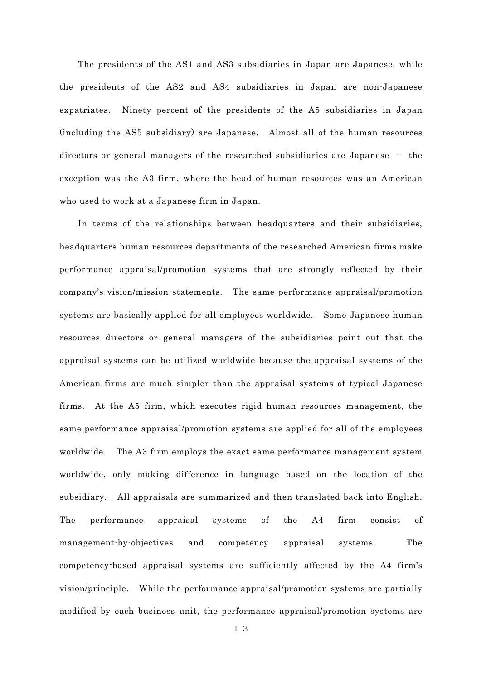The presidents of the AS1 and AS3 subsidiaries in Japan are Japanese, while the presidents of the AS2 and AS4 subsidiaries in Japan are non-Japanese expatriates. Ninety percent of the presidents of the A5 subsidiaries in Japan (including the AS5 subsidiary) are Japanese. Almost all of the human resources directors or general managers of the researched subsidiaries are Japanese  $-$  the exception was the A3 firm, where the head of human resources was an American who used to work at a Japanese firm in Japan.

 In terms of the relationships between headquarters and their subsidiaries, headquarters human resources departments of the researched American firms make performance appraisal/promotion systems that are strongly reflected by their company's vision/mission statements. The same performance appraisal/promotion systems are basically applied for all employees worldwide. Some Japanese human resources directors or general managers of the subsidiaries point out that the appraisal systems can be utilized worldwide because the appraisal systems of the American firms are much simpler than the appraisal systems of typical Japanese firms. At the A5 firm, which executes rigid human resources management, the same performance appraisal/promotion systems are applied for all of the employees worldwide. The A3 firm employs the exact same performance management system worldwide, only making difference in language based on the location of the subsidiary. All appraisals are summarized and then translated back into English. The performance appraisal systems of the A4 firm consist of management-by-objectives and competency appraisal systems. The competency-based appraisal systems are sufficiently affected by the A4 firm's vision/principle. While the performance appraisal/promotion systems are partially modified by each business unit, the performance appraisal/promotion systems are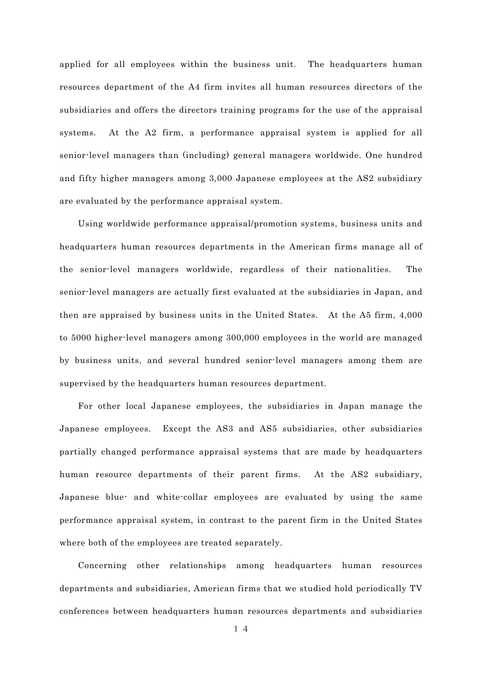applied for all employees within the business unit. The headquarters human resources department of the A4 firm invites all human resources directors of the subsidiaries and offers the directors training programs for the use of the appraisal systems. At the A2 firm, a performance appraisal system is applied for all senior-level managers than (including) general managers worldwide. One hundred and fifty higher managers among 3,000 Japanese employees at the AS2 subsidiary are evaluated by the performance appraisal system.

 Using worldwide performance appraisal/promotion systems, business units and headquarters human resources departments in the American firms manage all of the senior-level managers worldwide, regardless of their nationalities. The senior-level managers are actually first evaluated at the subsidiaries in Japan, and then are appraised by business units in the United States. At the A5 firm, 4,000 to 5000 higher-level managers among 300,000 employees in the world are managed by business units, and several hundred senior-level managers among them are supervised by the headquarters human resources department.

 For other local Japanese employees, the subsidiaries in Japan manage the Japanese employees. Except the AS3 and AS5 subsidiaries, other subsidiaries partially changed performance appraisal systems that are made by headquarters human resource departments of their parent firms. At the AS2 subsidiary, Japanese blue- and white-collar employees are evaluated by using the same performance appraisal system, in contrast to the parent firm in the United States where both of the employees are treated separately.

 Concerning other relationships among headquarters human resources departments and subsidiaries, American firms that we studied hold periodically TV conferences between headquarters human resources departments and subsidiaries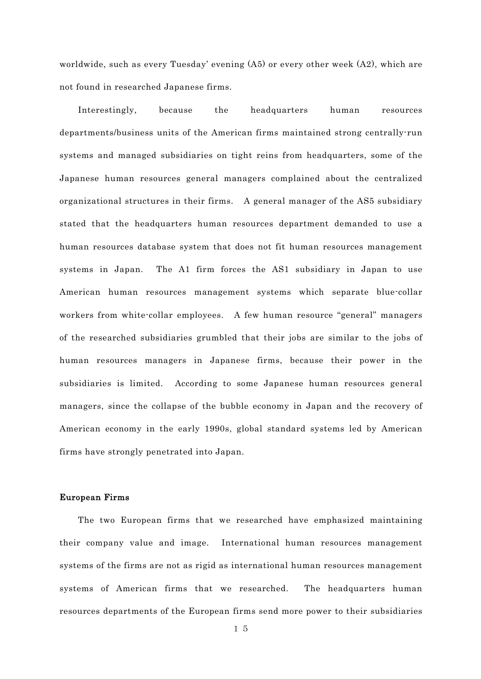worldwide, such as every Tuesday' evening (A5) or every other week (A2), which are not found in researched Japanese firms.

 Interestingly, because the headquarters human resources departments/business units of the American firms maintained strong centrally-run systems and managed subsidiaries on tight reins from headquarters, some of the Japanese human resources general managers complained about the centralized organizational structures in their firms. A general manager of the AS5 subsidiary stated that the headquarters human resources department demanded to use a human resources database system that does not fit human resources management systems in Japan. The A1 firm forces the AS1 subsidiary in Japan to use American human resources management systems which separate blue-collar workers from white-collar employees. A few human resource "general" managers of the researched subsidiaries grumbled that their jobs are similar to the jobs of human resources managers in Japanese firms, because their power in the subsidiaries is limited. According to some Japanese human resources general managers, since the collapse of the bubble economy in Japan and the recovery of American economy in the early 1990s, global standard systems led by American firms have strongly penetrated into Japan.

#### European Firms

 The two European firms that we researched have emphasized maintaining their company value and image. International human resources management systems of the firms are not as rigid as international human resources management systems of American firms that we researched. The headquarters human resources departments of the European firms send more power to their subsidiaries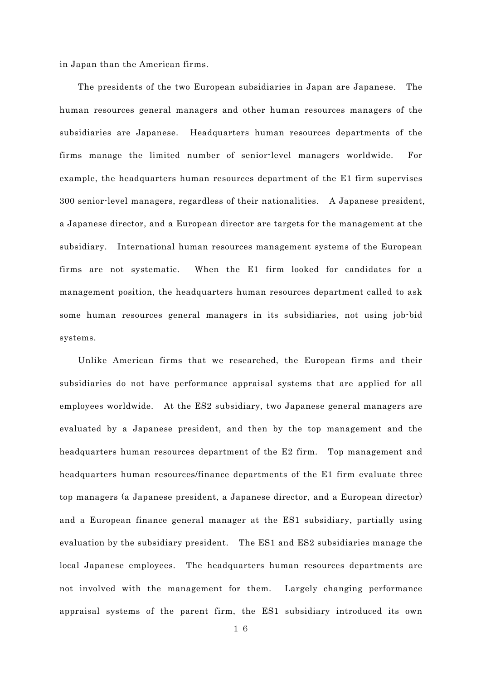in Japan than the American firms.

 The presidents of the two European subsidiaries in Japan are Japanese. The human resources general managers and other human resources managers of the subsidiaries are Japanese. Headquarters human resources departments of the firms manage the limited number of senior-level managers worldwide. For example, the headquarters human resources department of the E1 firm supervises 300 senior-level managers, regardless of their nationalities. A Japanese president, a Japanese director, and a European director are targets for the management at the subsidiary. International human resources management systems of the European firms are not systematic. When the E1 firm looked for candidates for a management position, the headquarters human resources department called to ask some human resources general managers in its subsidiaries, not using job-bid systems.

 Unlike American firms that we researched, the European firms and their subsidiaries do not have performance appraisal systems that are applied for all employees worldwide. At the ES2 subsidiary, two Japanese general managers are evaluated by a Japanese president, and then by the top management and the headquarters human resources department of the E2 firm. Top management and headquarters human resources/finance departments of the E1 firm evaluate three top managers (a Japanese president, a Japanese director, and a European director) and a European finance general manager at the ES1 subsidiary, partially using evaluation by the subsidiary president. The ES1 and ES2 subsidiaries manage the local Japanese employees. The headquarters human resources departments are not involved with the management for them. Largely changing performance appraisal systems of the parent firm, the ES1 subsidiary introduced its own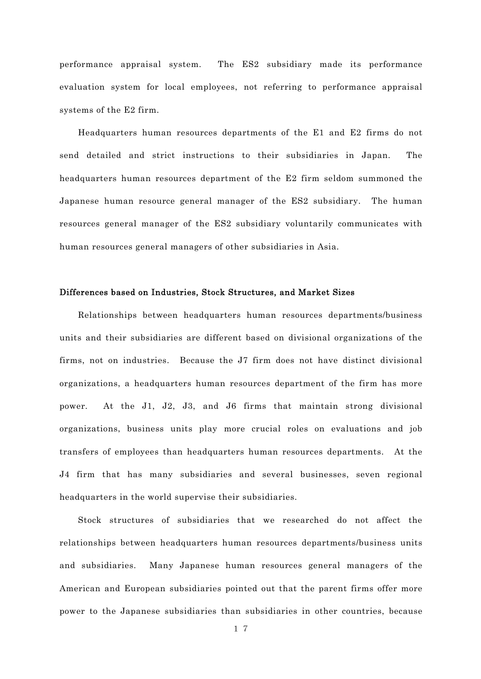performance appraisal system. The ES2 subsidiary made its performance evaluation system for local employees, not referring to performance appraisal systems of the E2 firm.

 Headquarters human resources departments of the E1 and E2 firms do not send detailed and strict instructions to their subsidiaries in Japan. The headquarters human resources department of the E2 firm seldom summoned the Japanese human resource general manager of the ES2 subsidiary. The human resources general manager of the ES2 subsidiary voluntarily communicates with human resources general managers of other subsidiaries in Asia.

#### Differences based on Industries, Stock Structures, and Market Sizes

 Relationships between headquarters human resources departments/business units and their subsidiaries are different based on divisional organizations of the firms, not on industries. Because the J7 firm does not have distinct divisional organizations, a headquarters human resources department of the firm has more power. At the J1, J2, J3, and J6 firms that maintain strong divisional organizations, business units play more crucial roles on evaluations and job transfers of employees than headquarters human resources departments. At the J4 firm that has many subsidiaries and several businesses, seven regional headquarters in the world supervise their subsidiaries.

 Stock structures of subsidiaries that we researched do not affect the relationships between headquarters human resources departments/business units and subsidiaries. Many Japanese human resources general managers of the American and European subsidiaries pointed out that the parent firms offer more power to the Japanese subsidiaries than subsidiaries in other countries, because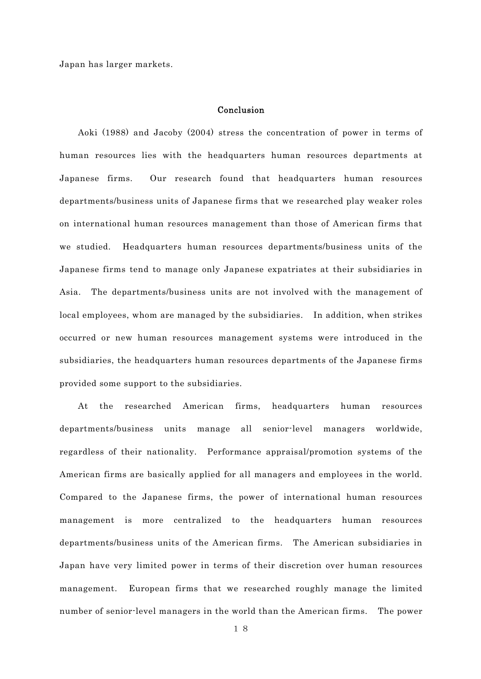Japan has larger markets.

#### Conclusion

 Aoki (1988) and Jacoby (2004) stress the concentration of power in terms of human resources lies with the headquarters human resources departments at Japanese firms. Our research found that headquarters human resources departments/business units of Japanese firms that we researched play weaker roles on international human resources management than those of American firms that we studied. Headquarters human resources departments/business units of the Japanese firms tend to manage only Japanese expatriates at their subsidiaries in Asia. The departments/business units are not involved with the management of local employees, whom are managed by the subsidiaries. In addition, when strikes occurred or new human resources management systems were introduced in the subsidiaries, the headquarters human resources departments of the Japanese firms provided some support to the subsidiaries.

 At the researched American firms, headquarters human resources departments/business units manage all senior-level managers worldwide, regardless of their nationality. Performance appraisal/promotion systems of the American firms are basically applied for all managers and employees in the world. Compared to the Japanese firms, the power of international human resources management is more centralized to the headquarters human resources departments/business units of the American firms. The American subsidiaries in Japan have very limited power in terms of their discretion over human resources management. European firms that we researched roughly manage the limited number of senior-level managers in the world than the American firms. The power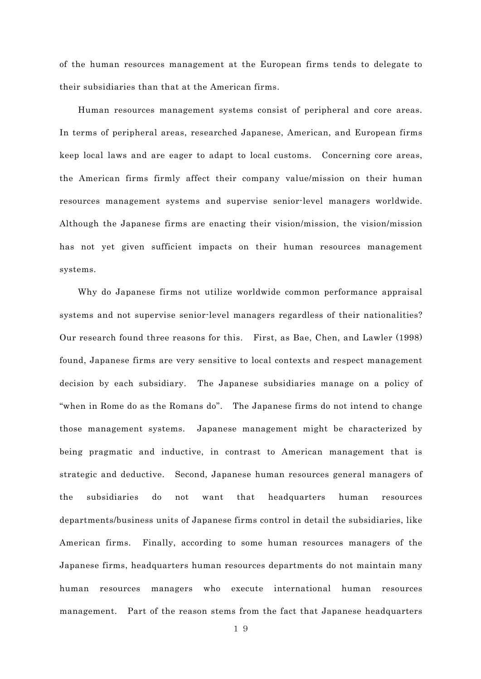of the human resources management at the European firms tends to delegate to their subsidiaries than that at the American firms.

 Human resources management systems consist of peripheral and core areas. In terms of peripheral areas, researched Japanese, American, and European firms keep local laws and are eager to adapt to local customs. Concerning core areas, the American firms firmly affect their company value/mission on their human resources management systems and supervise senior-level managers worldwide. Although the Japanese firms are enacting their vision/mission, the vision/mission has not yet given sufficient impacts on their human resources management systems.

 Why do Japanese firms not utilize worldwide common performance appraisal systems and not supervise senior-level managers regardless of their nationalities? Our research found three reasons for this. First, as Bae, Chen, and Lawler (1998) found, Japanese firms are very sensitive to local contexts and respect management decision by each subsidiary. The Japanese subsidiaries manage on a policy of "when in Rome do as the Romans do". The Japanese firms do not intend to change those management systems. Japanese management might be characterized by being pragmatic and inductive, in contrast to American management that is strategic and deductive. Second, Japanese human resources general managers of the subsidiaries do not want that headquarters human resources departments/business units of Japanese firms control in detail the subsidiaries, like American firms. Finally, according to some human resources managers of the Japanese firms, headquarters human resources departments do not maintain many human resources managers who execute international human resources management. Part of the reason stems from the fact that Japanese headquarters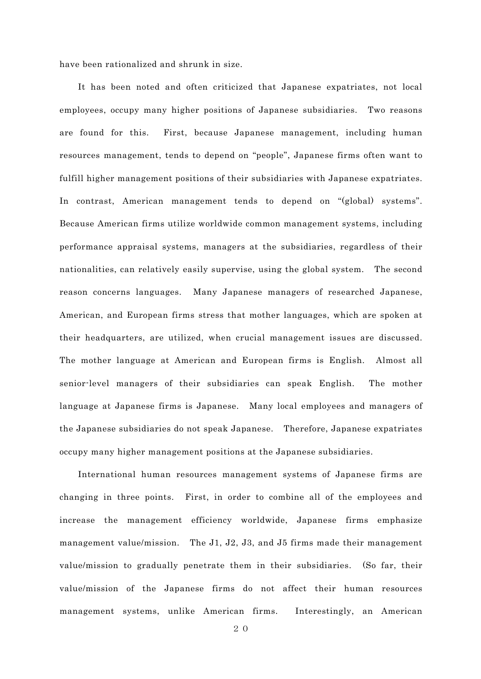have been rationalized and shrunk in size.

 It has been noted and often criticized that Japanese expatriates, not local employees, occupy many higher positions of Japanese subsidiaries. Two reasons are found for this. First, because Japanese management, including human resources management, tends to depend on "people", Japanese firms often want to fulfill higher management positions of their subsidiaries with Japanese expatriates. In contrast, American management tends to depend on "(global) systems". Because American firms utilize worldwide common management systems, including performance appraisal systems, managers at the subsidiaries, regardless of their nationalities, can relatively easily supervise, using the global system. The second reason concerns languages. Many Japanese managers of researched Japanese, American, and European firms stress that mother languages, which are spoken at their headquarters, are utilized, when crucial management issues are discussed. The mother language at American and European firms is English. Almost all senior-level managers of their subsidiaries can speak English. The mother language at Japanese firms is Japanese. Many local employees and managers of the Japanese subsidiaries do not speak Japanese. Therefore, Japanese expatriates occupy many higher management positions at the Japanese subsidiaries.

 International human resources management systems of Japanese firms are changing in three points. First, in order to combine all of the employees and increase the management efficiency worldwide, Japanese firms emphasize management value/mission. The J1, J2, J3, and J5 firms made their management value/mission to gradually penetrate them in their subsidiaries. (So far, their value/mission of the Japanese firms do not affect their human resources management systems, unlike American firms. Interestingly, an American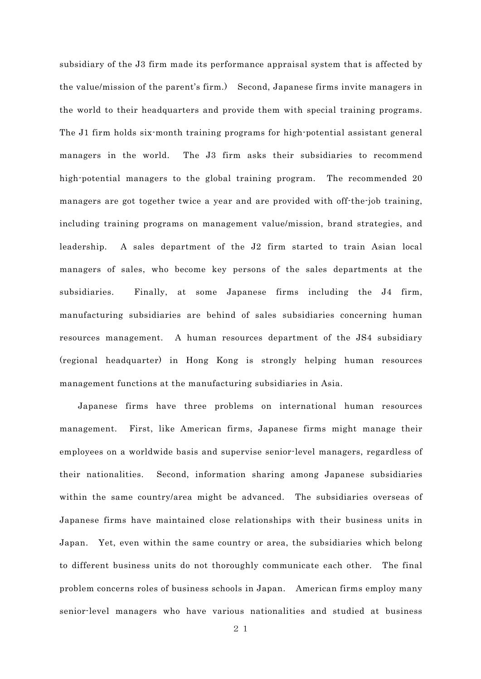subsidiary of the J3 firm made its performance appraisal system that is affected by the value/mission of the parent's firm.) Second, Japanese firms invite managers in the world to their headquarters and provide them with special training programs. The J1 firm holds six-month training programs for high-potential assistant general managers in the world. The J3 firm asks their subsidiaries to recommend high-potential managers to the global training program. The recommended 20 managers are got together twice a year and are provided with off-the-job training, including training programs on management value/mission, brand strategies, and leadership. A sales department of the J2 firm started to train Asian local managers of sales, who become key persons of the sales departments at the subsidiaries. Finally, at some Japanese firms including the J4 firm, manufacturing subsidiaries are behind of sales subsidiaries concerning human resources management. A human resources department of the JS4 subsidiary (regional headquarter) in Hong Kong is strongly helping human resources management functions at the manufacturing subsidiaries in Asia.

 Japanese firms have three problems on international human resources management. First, like American firms, Japanese firms might manage their employees on a worldwide basis and supervise senior-level managers, regardless of their nationalities. Second, information sharing among Japanese subsidiaries within the same country/area might be advanced. The subsidiaries overseas of Japanese firms have maintained close relationships with their business units in Japan. Yet, even within the same country or area, the subsidiaries which belong to different business units do not thoroughly communicate each other. The final problem concerns roles of business schools in Japan. American firms employ many senior-level managers who have various nationalities and studied at business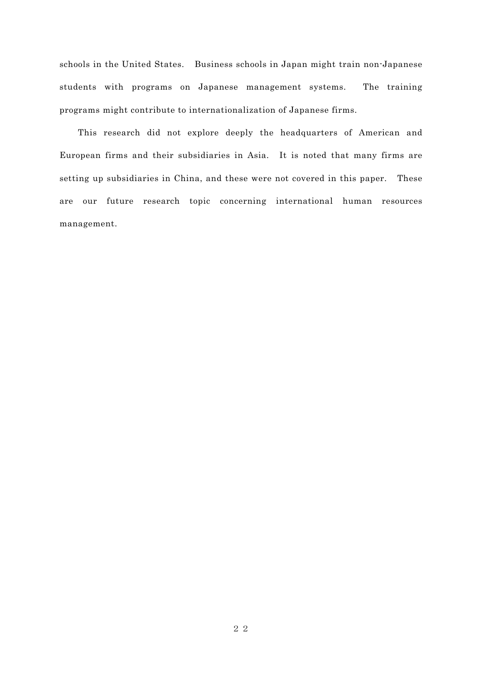schools in the United States. Business schools in Japan might train non-Japanese students with programs on Japanese management systems. The training programs might contribute to internationalization of Japanese firms.

This research did not explore deeply the headquarters of American and European firms and their subsidiaries in Asia. It is noted that many firms are setting up subsidiaries in China, and these were not covered in this paper. These are our future research topic concerning international human resources management.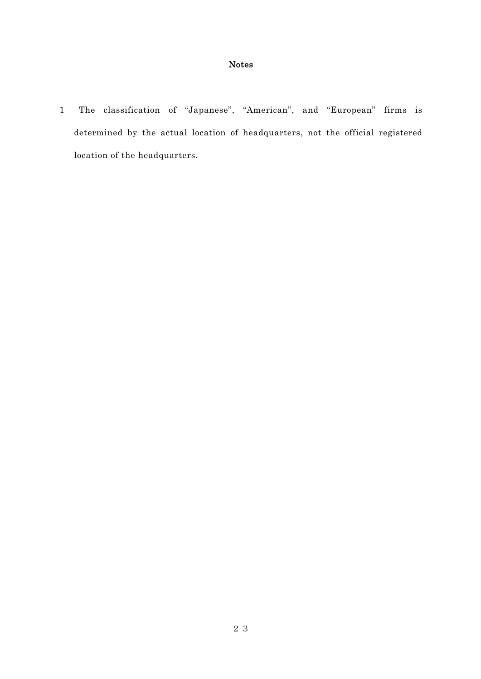## Notes

1 The classification of "Japanese", "American", and "European" firms is determined by the actual location of headquarters, not the official registered location of the headquarters.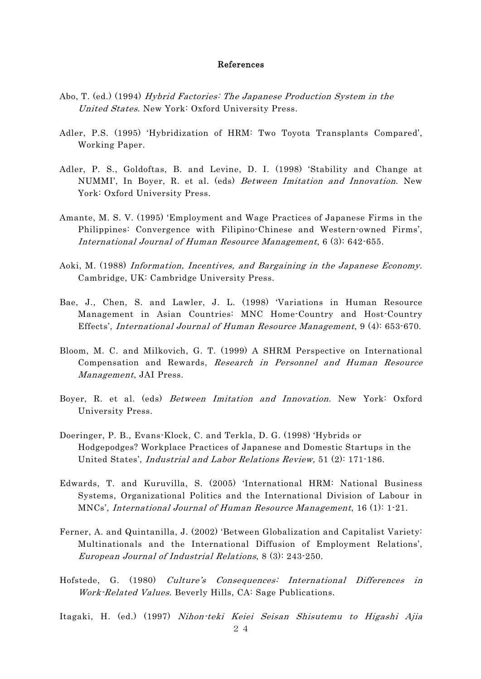#### References

- Abo, T. (ed.) (1994) Hybrid Factories: The Japanese Production System in the United States. New York: Oxford University Press.
- Adler, P.S. (1995) 'Hybridization of HRM: Two Toyota Transplants Compared', Working Paper.
- Adler, P. S., Goldoftas, B. and Levine, D. I. (1998) 'Stability and Change at NUMMI', In Boyer, R. et al. (eds) Between Imitation and Innovation. New York: Oxford University Press.
- Amante, M. S. V. (1995) 'Employment and Wage Practices of Japanese Firms in the Philippines: Convergence with Filipino-Chinese and Western-owned Firms', International Journal of Human Resource Management, 6 (3): 642-655.
- Aoki, M. (1988) Information, Incentives, and Bargaining in the Japanese Economy. Cambridge, UK: Cambridge University Press.
- Bae, J., Chen, S. and Lawler, J. L. (1998) 'Variations in Human Resource Management in Asian Countries: MNC Home-Country and Host-Country Effects', International Journal of Human Resource Management, 9 (4): 653-670.
- Bloom, M. C. and Milkovich, G. T. (1999) A SHRM Perspective on International Compensation and Rewards, Research in Personnel and Human Resource Management, JAI Press.
- Boyer, R. et al. (eds) Between Imitation and Innovation. New York: Oxford University Press.
- Doeringer, P. B., Evans-Klock, C. and Terkla, D. G. (1998) 'Hybrids or Hodgepodges? Workplace Practices of Japanese and Domestic Startups in the United States', Industrial and Labor Relations Review, 51 (2): 171-186.
- Edwards, T. and Kuruvilla, S. (2005) 'International HRM: National Business Systems, Organizational Politics and the International Division of Labour in MNCs', International Journal of Human Resource Management, 16 (1): 1-21.
- Ferner, A. and Quintanilla, J. (2002) 'Between Globalization and Capitalist Variety: Multinationals and the International Diffusion of Employment Relations', European Journal of Industrial Relations, 8 (3): 243-250.
- Hofstede, G. (1980) Culture's Consequences: International Differences in Work-Related Values. Beverly Hills, CA: Sage Publications.

Itagaki, H. (ed.) (1997) Nihon-teki Keiei Seisan Shisutemu to Higashi Ajia